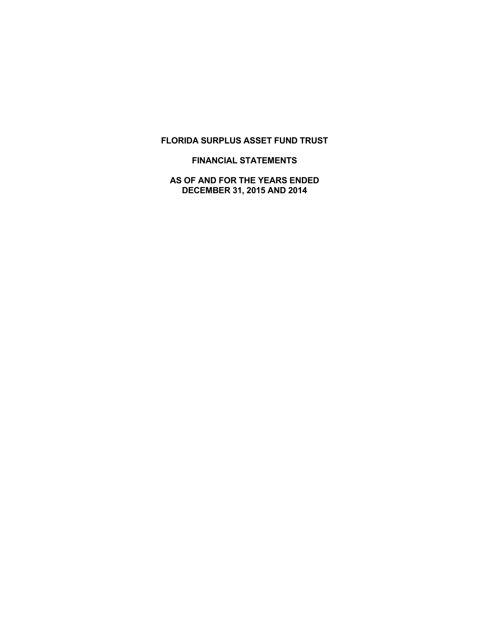# **FLORIDA SURPLUS ASSET FUND TRUST**

## **FINANCIAL STATEMENTS**

**AS OF AND FOR THE YEARS ENDED DECEMBER 31, 2015 AND 2014**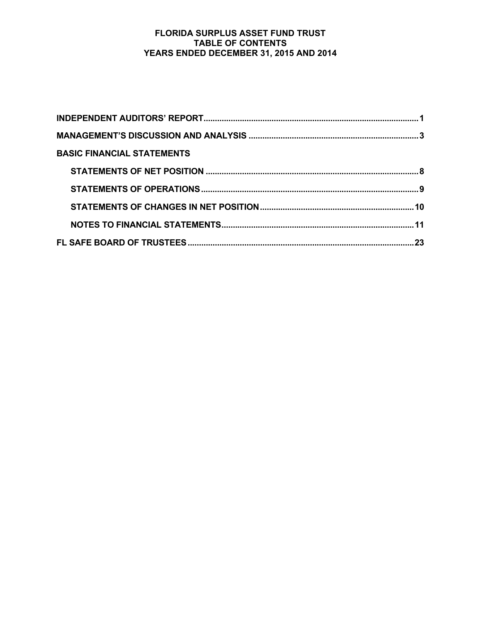## **FLORIDA SURPLUS ASSET FUND TRUST TABLE OF CONTENTS YEARS ENDED DECEMBER 31, 2015 AND 2014**

| <b>BASIC FINANCIAL STATEMENTS</b> |  |
|-----------------------------------|--|
|                                   |  |
|                                   |  |
|                                   |  |
|                                   |  |
|                                   |  |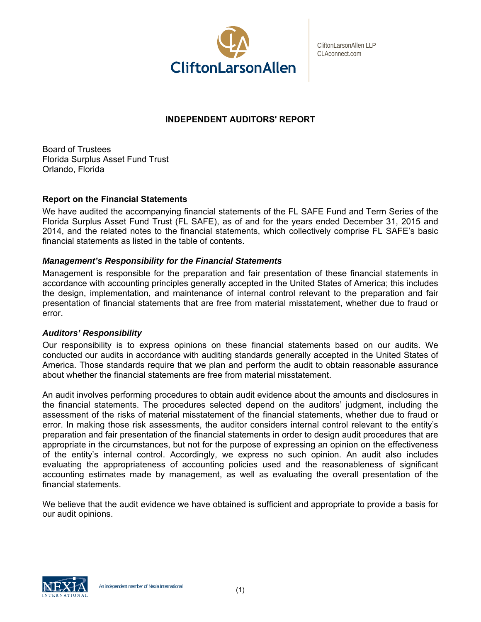

CliftonLarsonAllen LLP CLAconnect.com

# **INDEPENDENT AUDITORS' REPORT**

Board of Trustees Florida Surplus Asset Fund Trust Orlando, Florida

### **Report on the Financial Statements**

We have audited the accompanying financial statements of the FL SAFE Fund and Term Series of the Florida Surplus Asset Fund Trust (FL SAFE), as of and for the years ended December 31, 2015 and 2014, and the related notes to the financial statements, which collectively comprise FL SAFE's basic financial statements as listed in the table of contents.

## *Management's Responsibility for the Financial Statements*

Management is responsible for the preparation and fair presentation of these financial statements in accordance with accounting principles generally accepted in the United States of America; this includes the design, implementation, and maintenance of internal control relevant to the preparation and fair presentation of financial statements that are free from material misstatement, whether due to fraud or error.

#### *Auditors' Responsibility*

Our responsibility is to express opinions on these financial statements based on our audits. We conducted our audits in accordance with auditing standards generally accepted in the United States of America. Those standards require that we plan and perform the audit to obtain reasonable assurance about whether the financial statements are free from material misstatement.

An audit involves performing procedures to obtain audit evidence about the amounts and disclosures in the financial statements. The procedures selected depend on the auditors' judgment, including the assessment of the risks of material misstatement of the financial statements, whether due to fraud or error. In making those risk assessments, the auditor considers internal control relevant to the entity's preparation and fair presentation of the financial statements in order to design audit procedures that are appropriate in the circumstances, but not for the purpose of expressing an opinion on the effectiveness of the entity's internal control. Accordingly, we express no such opinion. An audit also includes evaluating the appropriateness of accounting policies used and the reasonableness of significant accounting estimates made by management, as well as evaluating the overall presentation of the financial statements.

We believe that the audit evidence we have obtained is sufficient and appropriate to provide a basis for our audit opinions.

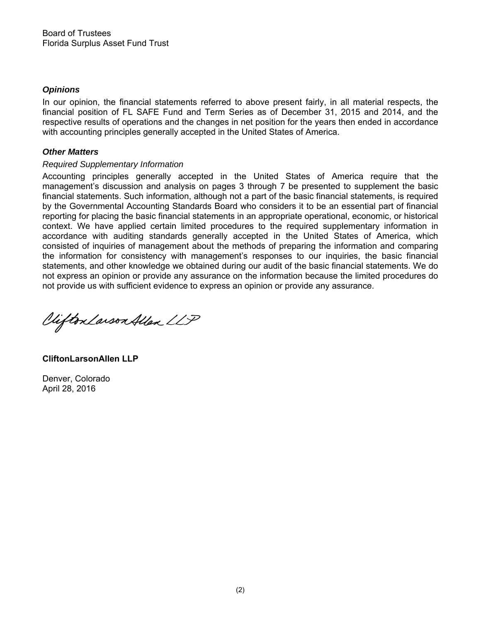## *Opinions*

In our opinion, the financial statements referred to above present fairly, in all material respects, the financial position of FL SAFE Fund and Term Series as of December 31, 2015 and 2014, and the respective results of operations and the changes in net position for the years then ended in accordance with accounting principles generally accepted in the United States of America.

# *Other Matters*

## *Required Supplementary Information*

Accounting principles generally accepted in the United States of America require that the management's discussion and analysis on pages 3 through 7 be presented to supplement the basic financial statements. Such information, although not a part of the basic financial statements, is required by the Governmental Accounting Standards Board who considers it to be an essential part of financial reporting for placing the basic financial statements in an appropriate operational, economic, or historical context. We have applied certain limited procedures to the required supplementary information in accordance with auditing standards generally accepted in the United States of America, which consisted of inquiries of management about the methods of preparing the information and comparing the information for consistency with management's responses to our inquiries, the basic financial statements, and other knowledge we obtained during our audit of the basic financial statements. We do not express an opinion or provide any assurance on the information because the limited procedures do not provide us with sufficient evidence to express an opinion o r provide any assurance.

Vifton Larson Allen LLP

**CliftonLarsonAllen LLP** 

Denver, Colorado April 28, 2016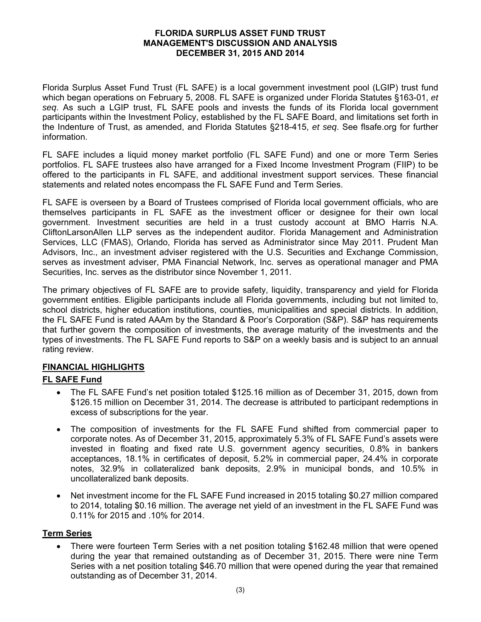Florida Surplus Asset Fund Trust (FL SAFE) is a local government investment pool (LGIP) trust fund which began operations on February 5, 2008. FL SAFE is organized under Florida Statutes §163-01, *et seq*. As such a LGIP trust, FL SAFE pools and invests the funds of its Florida local government participants within the Investment Policy, established by the FL SAFE Board, and limitations set forth in the Indenture of Trust, as amended, and Florida Statutes §218-415, *et seq*. See flsafe.org for further information.

FL SAFE includes a liquid money market portfolio (FL SAFE Fund) and one or more Term Series portfolios. FL SAFE trustees also have arranged for a Fixed Income Investment Program (FIIP) to be offered to the participants in FL SAFE, and additional investment support services. These financial statements and related notes encompass the FL SAFE Fund and Term Series.

FL SAFE is overseen by a Board of Trustees comprised of Florida local government officials, who are themselves participants in FL SAFE as the investment officer or designee for their own local government. Investment securities are held in a trust custody account at BMO Harris N.A. CliftonLarsonAllen LLP serves as the independent auditor. Florida Management and Administration Services, LLC (FMAS), Orlando, Florida has served as Administrator since May 2011. Prudent Man Advisors, Inc., an investment adviser registered with the U.S. Securities and Exchange Commission, serves as investment adviser, PMA Financial Network, Inc. serves as operational manager and PMA Securities, Inc. serves as the distributor since November 1, 2011.

The primary objectives of FL SAFE are to provide safety, liquidity, transparency and yield for Florida government entities. Eligible participants include all Florida governments, including but not limited to, school districts, higher education institutions, counties, municipalities and special districts. In addition, the FL SAFE Fund is rated AAAm by the Standard & Poor's Corporation (S&P). S&P has requirements that further govern the composition of investments, the average maturity of the investments and the types of investments. The FL SAFE Fund reports to S&P on a weekly basis and is subject to an annual rating review.

# **FINANCIAL HIGHLIGHTS**

# **FL SAFE Fund**

- The FL SAFE Fund's net position totaled \$125.16 million as of December 31, 2015, down from \$126.15 million on December 31, 2014. The decrease is attributed to participant redemptions in excess of subscriptions for the year.
- The composition of investments for the FL SAFE Fund shifted from commercial paper to corporate notes. As of December 31, 2015, approximately 5.3% of FL SAFE Fund's assets were invested in floating and fixed rate U.S. government agency securities, 0.8% in bankers acceptances, 18.1% in certificates of deposit, 5.2% in commercial paper, 24.4% in corporate notes, 32.9% in collateralized bank deposits, 2.9% in municipal bonds, and 10.5% in uncollateralized bank deposits.
- Net investment income for the FL SAFE Fund increased in 2015 totaling \$0.27 million compared to 2014, totaling \$0.16 million. The average net yield of an investment in the FL SAFE Fund was 0.11% for 2015 and .10% for 2014.

## **Term Series**

 There were fourteen Term Series with a net position totaling \$162.48 million that were opened during the year that remained outstanding as of December 31, 2015. There were nine Term Series with a net position totaling \$46.70 million that were opened during the year that remained outstanding as of December 31, 2014.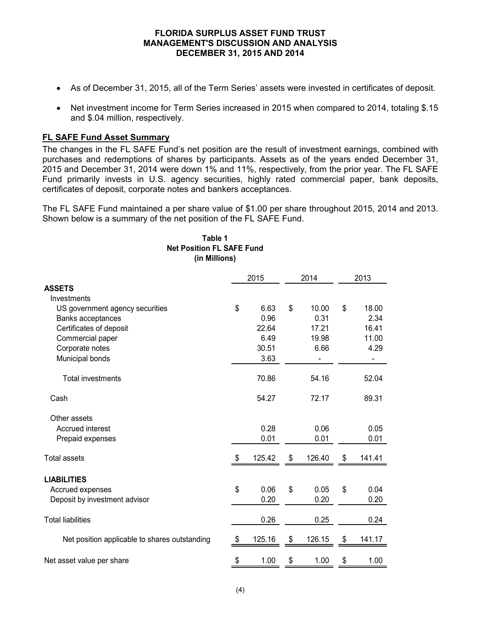- As of December 31, 2015, all of the Term Series' assets were invested in certificates of deposit.
- Net investment income for Term Series increased in 2015 when compared to 2014, totaling \$.15 and \$.04 million, respectively.

## **FL SAFE Fund Asset Summary**

The changes in the FL SAFE Fund's net position are the result of investment earnings, combined with purchases and redemptions of shares by participants. Assets as of the years ended December 31, 2015 and December 31, 2014 were down 1% and 11%, respectively, from the prior year. The FL SAFE Fund primarily invests in U.S. agency securities, highly rated commercial paper, bank deposits, certificates of deposit, corporate notes and bankers acceptances.

The FL SAFE Fund maintained a per share value of \$1.00 per share throughout 2015, 2014 and 2013. Shown below is a summary of the net position of the FL SAFE Fund.

**Table 1**

| <b>Net Position FL SAFE Fund</b><br>(in Millions) |              |      |        |              |
|---------------------------------------------------|--------------|------|--------|--------------|
|                                                   | 2015         | 2014 |        | 2013         |
| <b>ASSETS</b>                                     |              |      |        |              |
| Investments                                       |              |      |        |              |
| US government agency securities                   | \$<br>6.63   | \$   | 10.00  | \$<br>18.00  |
| Banks acceptances                                 | 0.96         |      | 0.31   | 2.34         |
| Certificates of deposit                           | 22.64        |      | 17.21  | 16.41        |
| Commercial paper                                  | 6.49         |      | 19.98  | 11.00        |
| Corporate notes                                   | 30.51        |      | 6.66   | 4.29         |
| Municipal bonds                                   | 3.63         |      |        |              |
| <b>Total investments</b>                          | 70.86        |      | 54.16  | 52.04        |
| Cash                                              | 54.27        |      | 72.17  | 89.31        |
| Other assets                                      |              |      |        |              |
| Accrued interest                                  | 0.28         |      | 0.06   | 0.05         |
| Prepaid expenses                                  | 0.01         |      | 0.01   | 0.01         |
| <b>Total assets</b>                               | \$<br>125.42 | \$   | 126.40 | \$<br>141.41 |
| <b>LIABILITIES</b>                                |              |      |        |              |
| Accrued expenses                                  | \$<br>0.06   | \$   | 0.05   | \$<br>0.04   |
| Deposit by investment advisor                     | 0.20         |      | 0.20   | 0.20         |
| <b>Total liabilities</b>                          | 0.26         |      | 0.25   | 0.24         |
| Net position applicable to shares outstanding     | \$<br>125.16 | \$   | 126.15 | \$<br>141.17 |
| Net asset value per share                         | \$<br>1.00   | \$   | 1.00   | \$<br>1.00   |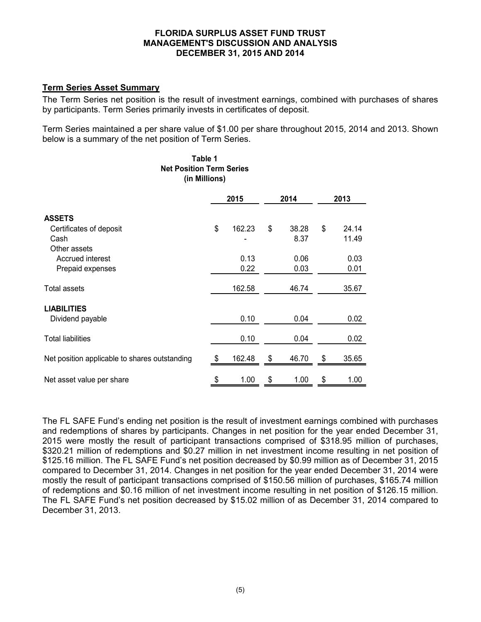## **Term Series Asset Summary**

The Term Series net position is the result of investment earnings, combined with purchases of shares by participants. Term Series primarily invests in certificates of deposit.

Term Series maintained a per share value of \$1.00 per share throughout 2015, 2014 and 2013. Shown below is a summary of the net position of Term Series.

|                                               | (in Millions) |        |             |             |
|-----------------------------------------------|---------------|--------|-------------|-------------|
|                                               |               | 2015   | 2014        | 2013        |
| <b>ASSETS</b>                                 |               |        |             |             |
| Certificates of deposit                       | \$            | 162.23 | \$<br>38.28 | \$<br>24.14 |
| Cash                                          |               |        | 8.37        | 11.49       |
| Other assets                                  |               |        |             |             |
| Accrued interest                              |               | 0.13   | 0.06        | 0.03        |
| Prepaid expenses                              |               | 0.22   | 0.03        | 0.01        |
| <b>Total assets</b>                           |               | 162.58 | 46.74       | 35.67       |
| <b>LIABILITIES</b>                            |               |        |             |             |
| Dividend payable                              |               | 0.10   | 0.04        | 0.02        |
| <b>Total liabilities</b>                      |               | 0.10   | 0.04        | 0.02        |
| Net position applicable to shares outstanding | S             | 162.48 | \$<br>46.70 | \$<br>35.65 |
|                                               |               |        |             |             |
| Net asset value per share                     | \$            | 1.00   | \$<br>1.00  | \$<br>1.00  |

**Table 1 Net Position Term Series**

The FL SAFE Fund's ending net position is the result of investment earnings combined with purchases and redemptions of shares by participants. Changes in net position for the year ended December 31, 2015 were mostly the result of participant transactions comprised of \$318.95 million of purchases, \$320.21 million of redemptions and \$0.27 million in net investment income resulting in net position of \$125.16 million. The FL SAFE Fund's net position decreased by \$0.99 million as of December 31, 2015 compared to December 31, 2014. Changes in net position for the year ended December 31, 2014 were mostly the result of participant transactions comprised of \$150.56 million of purchases, \$165.74 million of redemptions and \$0.16 million of net investment income resulting in net position of \$126.15 million. The FL SAFE Fund's net position decreased by \$15.02 million of as December 31, 2014 compared to December 31, 2013.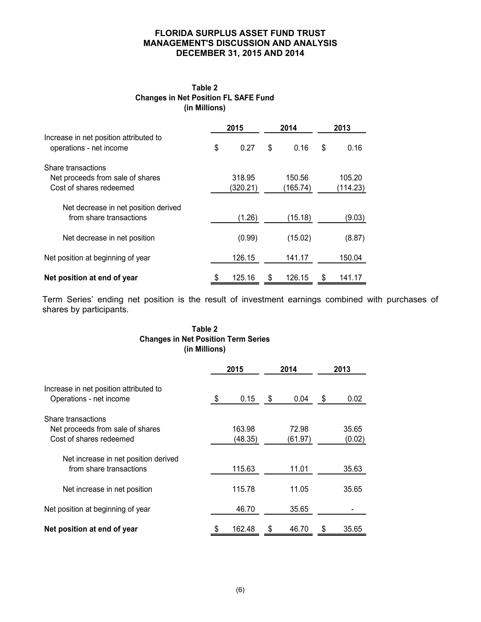#### **Table 2 Changes in Net Position FL SAFE Fund (in Millions)**

|                                                                                   | 2015               | 2014               | 2013               |
|-----------------------------------------------------------------------------------|--------------------|--------------------|--------------------|
| Increase in net position attributed to<br>operations - net income                 | \$<br>0.27         | \$<br>0.16         | \$<br>0.16         |
| Share transactions<br>Net proceeds from sale of shares<br>Cost of shares redeemed | 318.95<br>(320.21) | 150.56<br>(165.74) | 105.20<br>(114.23) |
| Net decrease in net position derived<br>from share transactions                   | (1.26)             | (15.18)            | (9.03)             |
| Net decrease in net position                                                      | (0.99)             | (15.02)            | (8.87)             |
| Net position at beginning of year                                                 | 126.15             | 141.17             | 150.04             |
| Net position at end of year                                                       | \$<br>125.16       | \$<br>126.15       | \$<br>141.17       |

Term Series' ending net position is the result of investment earnings combined with purchases of shares by participants.

### **Table 2 Changes in Net Position Term Series (in Millions)**

|                                                                                   |    | 2015              | 2014             | 2013 |                 |  |
|-----------------------------------------------------------------------------------|----|-------------------|------------------|------|-----------------|--|
| Increase in net position attributed to<br>Operations - net income                 |    | 0.15              | \$<br>0.04       | \$   | 0.02            |  |
| Share transactions<br>Net proceeds from sale of shares<br>Cost of shares redeemed |    | 163.98<br>(48.35) | 72.98<br>(61.97) |      | 35.65<br>(0.02) |  |
| Net increase in net position derived<br>from share transactions                   |    | 115.63            | 11.01            |      | 35.63           |  |
| Net increase in net position                                                      |    | 115.78            | 11.05            |      | 35.65           |  |
| Net position at beginning of year                                                 |    | 46.70             | 35.65            |      |                 |  |
| Net position at end of year                                                       | \$ | 162.48            | \$<br>46.70      | S    | 35.65           |  |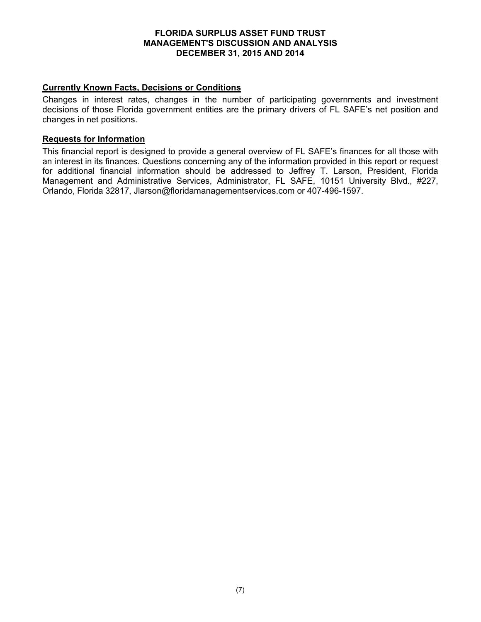# **Currently Known Facts, Decisions or Conditions**

Changes in interest rates, changes in the number of participating governments and investment decisions of those Florida government entities are the primary drivers of FL SAFE's net position and changes in net positions.

#### **Requests for Information**

This financial report is designed to provide a general overview of FL SAFE's finances for all those with an interest in its finances. Questions concerning any of the information provided in this report or request for additional financial information should be addressed to Jeffrey T. Larson, President, Florida Management and Administrative Services, Administrator, FL SAFE, 10151 University Blvd., #227, Orlando, Florida 32817, Jlarson@floridamanagementservices.com or 407-496-1597.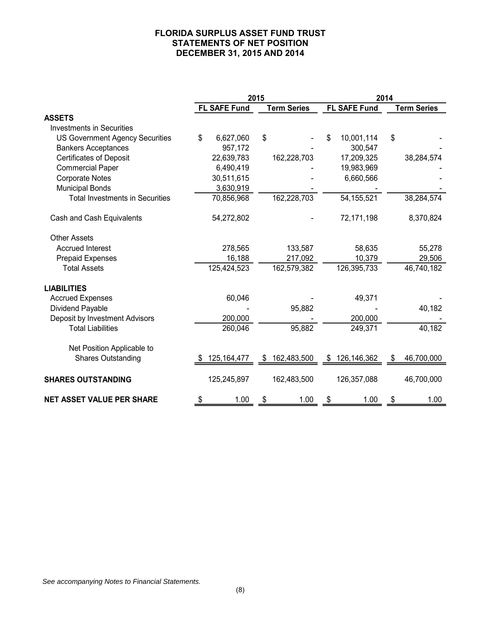## **FLORIDA SURPLUS ASSET FUND TRUST STATEMENTS OF NET POSITION DECEMBER 31, 2015 AND 2014**

|                                        |                     | 2015               | 2014                |                    |  |  |  |
|----------------------------------------|---------------------|--------------------|---------------------|--------------------|--|--|--|
|                                        | <b>FL SAFE Fund</b> | <b>Term Series</b> | <b>FL SAFE Fund</b> | <b>Term Series</b> |  |  |  |
| <b>ASSETS</b>                          |                     |                    |                     |                    |  |  |  |
| <b>Investments in Securities</b>       |                     |                    |                     |                    |  |  |  |
| <b>US Government Agency Securities</b> | \$<br>6,627,060     | \$                 | \$<br>10,001,114    | \$                 |  |  |  |
| <b>Bankers Acceptances</b>             | 957,172             |                    | 300,547             |                    |  |  |  |
| <b>Certificates of Deposit</b>         | 22,639,783          | 162,228,703        | 17,209,325          | 38,284,574         |  |  |  |
| <b>Commercial Paper</b>                | 6,490,419           |                    | 19,983,969          |                    |  |  |  |
| <b>Corporate Notes</b>                 | 30,511,615          |                    | 6,660,566           |                    |  |  |  |
| <b>Municipal Bonds</b>                 | 3,630,919           |                    |                     |                    |  |  |  |
| <b>Total Investments in Securities</b> | 70,856,968          | 162,228,703        | 54, 155, 521        | 38,284,574         |  |  |  |
| Cash and Cash Equivalents              | 54,272,802          |                    | 72,171,198          | 8,370,824          |  |  |  |
| <b>Other Assets</b>                    |                     |                    |                     |                    |  |  |  |
| <b>Accrued Interest</b>                | 278,565             | 133,587            | 58,635              | 55,278             |  |  |  |
| <b>Prepaid Expenses</b>                | 16,188              | 217,092            | 10,379              | 29,506             |  |  |  |
| <b>Total Assets</b>                    | 125,424,523         | 162,579,382        | 126,395,733         | 46,740,182         |  |  |  |
| <b>LIABILITIES</b>                     |                     |                    |                     |                    |  |  |  |
| <b>Accrued Expenses</b>                | 60,046              |                    | 49,371              |                    |  |  |  |
| Dividend Payable                       |                     | 95,882             |                     | 40,182             |  |  |  |
| Deposit by Investment Advisors         | 200,000             |                    | 200,000             |                    |  |  |  |
| <b>Total Liabilities</b>               | 260,046             | 95,882             | 249,371             | 40,182             |  |  |  |
| Net Position Applicable to             |                     |                    |                     |                    |  |  |  |
| <b>Shares Outstanding</b>              | 125, 164, 477       | 162,483,500<br>\$  | 126, 146, 362<br>S. | 46,700,000<br>S.   |  |  |  |
| <b>SHARES OUTSTANDING</b>              | 125,245,897         | 162,483,500        | 126,357,088         | 46,700,000         |  |  |  |
| <b>NET ASSET VALUE PER SHARE</b>       | \$<br>1.00          | \$<br>1.00         | \$<br>1.00          | \$<br>1.00         |  |  |  |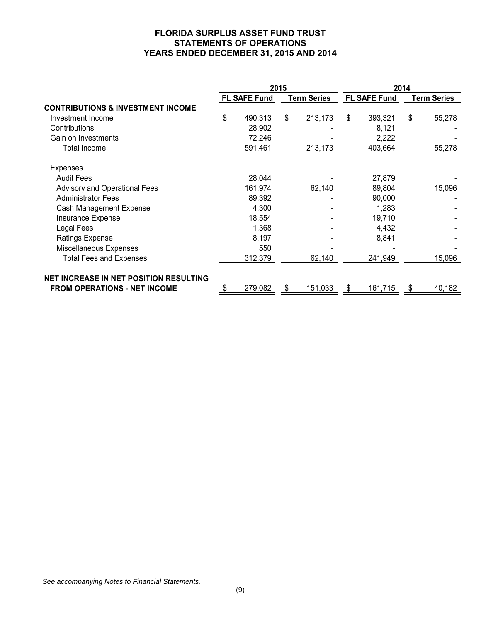## **FLORIDA SURPLUS ASSET FUND TRUST STATEMENTS OF OPERATIONS YEARS ENDED DECEMBER 31, 2015 AND 2014**

|                                               | 2015 |                     |    |                    | 2014 |                     |    |             |  |
|-----------------------------------------------|------|---------------------|----|--------------------|------|---------------------|----|-------------|--|
|                                               |      | <b>FL SAFE Fund</b> |    | <b>Term Series</b> |      | <b>FL SAFE Fund</b> |    | Term Series |  |
| <b>CONTRIBUTIONS &amp; INVESTMENT INCOME</b>  |      |                     |    |                    |      |                     |    |             |  |
| Investment Income                             | \$   | 490,313             | \$ | 213,173            | \$   | 393,321             | \$ | 55,278      |  |
| Contributions                                 |      | 28,902              |    |                    |      | 8,121               |    |             |  |
| Gain on Investments                           |      | 72,246              |    |                    |      | 2,222               |    |             |  |
| <b>Total Income</b>                           |      | 591,461             |    | 213,173            |      | 403,664             |    | 55,278      |  |
| <b>Expenses</b>                               |      |                     |    |                    |      |                     |    |             |  |
| <b>Audit Fees</b>                             |      | 28,044              |    |                    |      | 27,879              |    |             |  |
| <b>Advisory and Operational Fees</b>          |      | 161,974             |    | 62,140             |      | 89,804              |    | 15,096      |  |
| <b>Administrator Fees</b>                     |      | 89,392              |    |                    |      | 90,000              |    |             |  |
| Cash Management Expense                       |      | 4,300               |    |                    |      | 1,283               |    |             |  |
| Insurance Expense                             |      | 18,554              |    |                    |      | 19,710              |    |             |  |
| Legal Fees                                    |      | 1,368               |    |                    |      | 4,432               |    |             |  |
| Ratings Expense                               |      | 8,197               |    |                    |      | 8,841               |    |             |  |
| Miscellaneous Expenses                        |      | 550                 |    |                    |      |                     |    |             |  |
| <b>Total Fees and Expenses</b>                |      | 312,379             |    | 62,140             |      | 241,949             |    | 15,096      |  |
| <b>NET INCREASE IN NET POSITION RESULTING</b> |      |                     |    |                    |      |                     |    |             |  |
| <b>FROM OPERATIONS - NET INCOME</b>           |      | 279,082             | \$ | 151,033            | S    | 161,715             |    | 40,182      |  |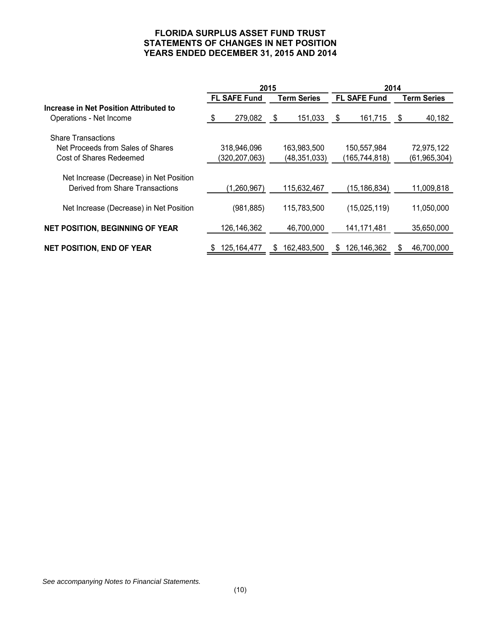## **FLORIDA SURPLUS ASSET FUND TRUST STATEMENTS OF CHANGES IN NET POSITION YEARS ENDED DECEMBER 31, 2015 AND 2014**

|                                                                            |               | 2015                |    |                    | 2014 |                     |    |                    |  |
|----------------------------------------------------------------------------|---------------|---------------------|----|--------------------|------|---------------------|----|--------------------|--|
|                                                                            |               | <b>FL SAFE Fund</b> |    | <b>Term Series</b> |      | <b>FL SAFE Fund</b> |    | <b>Term Series</b> |  |
| Increase in Net Position Attributed to<br>Operations - Net Income          | -\$           | 279,082             | \$ | 151,033            | \$   | 161,715             | \$ | 40,182             |  |
| <b>Share Transactions</b><br>Net Proceeds from Sales of Shares             |               | 318,946,096         |    | 163,983,500        |      | 150,557,984         |    | 72,975,122         |  |
| Cost of Shares Redeemed                                                    | (320,207,063) |                     |    | (48, 351, 033)     |      | (165,744,818)       |    | (61, 965, 304)     |  |
| Net Increase (Decrease) in Net Position<br>Derived from Share Transactions |               | (1,260,967)         |    | 115,632,467        |      | (15, 186, 834)      |    | 11,009,818         |  |
| Net Increase (Decrease) in Net Position                                    |               | (981,885)           |    | 115,783,500        |      | (15,025,119)        |    | 11,050,000         |  |
| <b>NET POSITION, BEGINNING OF YEAR</b>                                     |               | 126,146,362         |    | 46,700,000         |      | 141, 171, 481       |    | 35,650,000         |  |
| <b>NET POSITION, END OF YEAR</b>                                           |               | 125, 164, 477       | S. | 162,483,500        | S    | 126,146,362         | S  | 46,700,000         |  |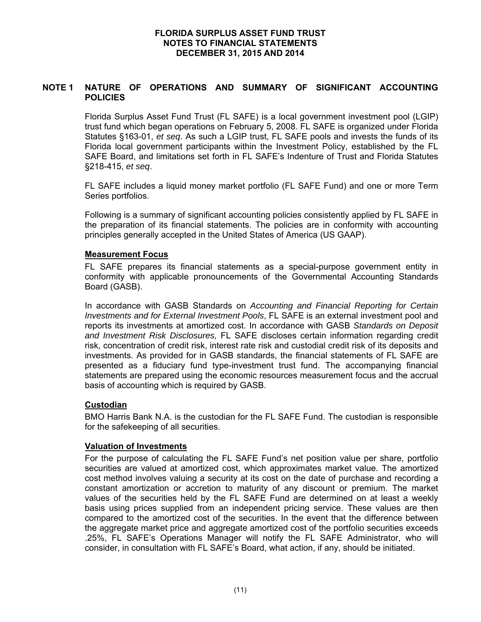## **NOTE 1 NATURE OF OPERATIONS AND SUMMARY OF SIGNIFICANT ACCOUNTING POLICIES**

Florida Surplus Asset Fund Trust (FL SAFE) is a local government investment pool (LGIP) trust fund which began operations on February 5, 2008. FL SAFE is organized under Florida Statutes §163-01, *et seq*. As such a LGIP trust, FL SAFE pools and invests the funds of its Florida local government participants within the Investment Policy, established by the FL SAFE Board, and limitations set forth in FL SAFE's Indenture of Trust and Florida Statutes §218-415, *et seq*.

FL SAFE includes a liquid money market portfolio (FL SAFE Fund) and one or more Term Series portfolios.

Following is a summary of significant accounting policies consistently applied by FL SAFE in the preparation of its financial statements. The policies are in conformity with accounting principles generally accepted in the United States of America (US GAAP).

### **Measurement Focus**

FL SAFE prepares its financial statements as a special-purpose government entity in conformity with applicable pronouncements of the Governmental Accounting Standards Board (GASB).

In accordance with GASB Standards on *Accounting and Financial Reporting for Certain Investments and for External Investment Pools*, FL SAFE is an external investment pool and reports its investments at amortized cost. In accordance with GASB *Standards on Deposit and Investment Risk Disclosures,* FL SAFE discloses certain information regarding credit risk, concentration of credit risk, interest rate risk and custodial credit risk of its deposits and investments. As provided for in GASB standards, the financial statements of FL SAFE are presented as a fiduciary fund type-investment trust fund. The accompanying financial statements are prepared using the economic resources measurement focus and the accrual basis of accounting which is required by GASB.

## **Custodian**

BMO Harris Bank N.A. is the custodian for the FL SAFE Fund. The custodian is responsible for the safekeeping of all securities.

#### **Valuation of Investments**

For the purpose of calculating the FL SAFE Fund's net position value per share, portfolio securities are valued at amortized cost, which approximates market value. The amortized cost method involves valuing a security at its cost on the date of purchase and recording a constant amortization or accretion to maturity of any discount or premium. The market values of the securities held by the FL SAFE Fund are determined on at least a weekly basis using prices supplied from an independent pricing service. These values are then compared to the amortized cost of the securities. In the event that the difference between the aggregate market price and aggregate amortized cost of the portfolio securities exceeds .25%, FL SAFE's Operations Manager will notify the FL SAFE Administrator, who will consider, in consultation with FL SAFE's Board, what action, if any, should be initiated.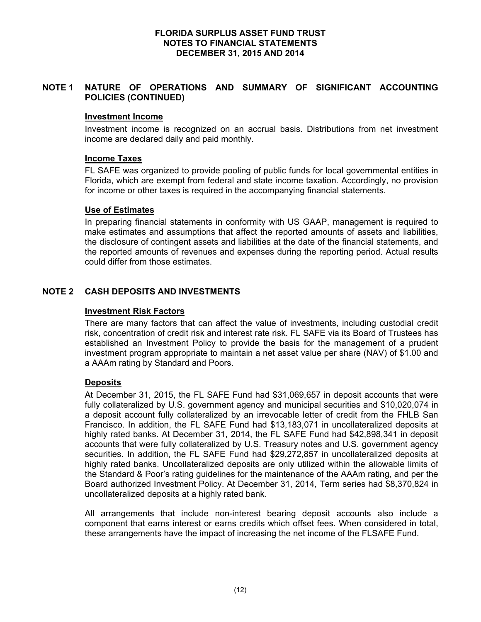## **NOTE 1 NATURE OF OPERATIONS AND SUMMARY OF SIGNIFICANT ACCOUNTING POLICIES (CONTINUED)**

#### **Investment Income**

Investment income is recognized on an accrual basis. Distributions from net investment income are declared daily and paid monthly.

#### **Income Taxes**

FL SAFE was organized to provide pooling of public funds for local governmental entities in Florida, which are exempt from federal and state income taxation. Accordingly, no provision for income or other taxes is required in the accompanying financial statements.

### **Use of Estimates**

In preparing financial statements in conformity with US GAAP, management is required to make estimates and assumptions that affect the reported amounts of assets and liabilities, the disclosure of contingent assets and liabilities at the date of the financial statements, and the reported amounts of revenues and expenses during the reporting period. Actual results could differ from those estimates.

# **NOTE 2 CASH DEPOSITS AND INVESTMENTS**

## **Investment Risk Factors**

There are many factors that can affect the value of investments, including custodial credit risk, concentration of credit risk and interest rate risk. FL SAFE via its Board of Trustees has established an Investment Policy to provide the basis for the management of a prudent investment program appropriate to maintain a net asset value per share (NAV) of \$1.00 and a AAAm rating by Standard and Poors.

#### **Deposits**

At December 31, 2015, the FL SAFE Fund had \$31,069,657 in deposit accounts that were fully collateralized by U.S. government agency and municipal securities and \$10,020,074 in a deposit account fully collateralized by an irrevocable letter of credit from the FHLB San Francisco. In addition, the FL SAFE Fund had \$13,183,071 in uncollateralized deposits at highly rated banks. At December 31, 2014, the FL SAFE Fund had \$42,898,341 in deposit accounts that were fully collateralized by U.S. Treasury notes and U.S. government agency securities. In addition, the FL SAFE Fund had \$29,272,857 in uncollateralized deposits at highly rated banks. Uncollateralized deposits are only utilized within the allowable limits of the Standard & Poor's rating guidelines for the maintenance of the AAAm rating, and per the Board authorized Investment Policy. At December 31, 2014, Term series had \$8,370,824 in uncollateralized deposits at a highly rated bank.

All arrangements that include non-interest bearing deposit accounts also include a component that earns interest or earns credits which offset fees. When considered in total, these arrangements have the impact of increasing the net income of the FLSAFE Fund.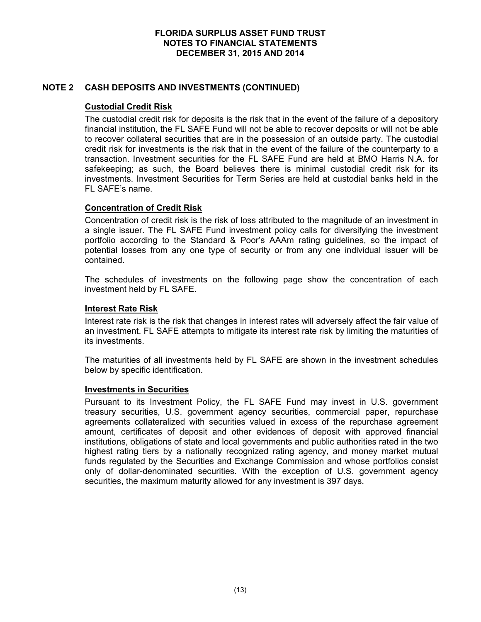# **NOTE 2 CASH DEPOSITS AND INVESTMENTS (CONTINUED)**

## **Custodial Credit Risk**

The custodial credit risk for deposits is the risk that in the event of the failure of a depository financial institution, the FL SAFE Fund will not be able to recover deposits or will not be able to recover collateral securities that are in the possession of an outside party. The custodial credit risk for investments is the risk that in the event of the failure of the counterparty to a transaction. Investment securities for the FL SAFE Fund are held at BMO Harris N.A. for safekeeping; as such, the Board believes there is minimal custodial credit risk for its investments. Investment Securities for Term Series are held at custodial banks held in the FL SAFE's name.

# **Concentration of Credit Risk**

Concentration of credit risk is the risk of loss attributed to the magnitude of an investment in a single issuer. The FL SAFE Fund investment policy calls for diversifying the investment portfolio according to the Standard & Poor's AAAm rating guidelines, so the impact of potential losses from any one type of security or from any one individual issuer will be contained.

The schedules of investments on the following page show the concentration of each investment held by FL SAFE.

## **Interest Rate Risk**

Interest rate risk is the risk that changes in interest rates will adversely affect the fair value of an investment. FL SAFE attempts to mitigate its interest rate risk by limiting the maturities of its investments.

The maturities of all investments held by FL SAFE are shown in the investment schedules below by specific identification.

## **Investments in Securities**

Pursuant to its Investment Policy, the FL SAFE Fund may invest in U.S. government treasury securities, U.S. government agency securities, commercial paper, repurchase agreements collateralized with securities valued in excess of the repurchase agreement amount, certificates of deposit and other evidences of deposit with approved financial institutions, obligations of state and local governments and public authorities rated in the two highest rating tiers by a nationally recognized rating agency, and money market mutual funds regulated by the Securities and Exchange Commission and whose portfolios consist only of dollar-denominated securities. With the exception of U.S. government agency securities, the maximum maturity allowed for any investment is 397 days.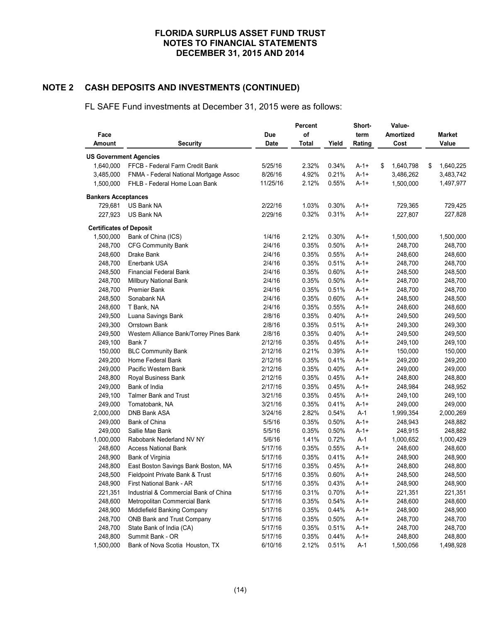# **NOTE 2 CASH DEPOSITS AND INVESTMENTS (CONTINUED)**

FL SAFE Fund investments at December 31, 2015 were as follows:

|                                |                                         |          | Percent      |       | Short- | Value-          |                 |
|--------------------------------|-----------------------------------------|----------|--------------|-------|--------|-----------------|-----------------|
| Face                           |                                         | Due      | of           |       | term   | Amortized       | <b>Market</b>   |
| Amount                         | <b>Security</b>                         | Date     | <b>Total</b> | Yield | Rating | Cost            | Value           |
| <b>US Government Agencies</b>  |                                         |          |              |       |        |                 |                 |
| 1,640,000                      | FFCB - Federal Farm Credit Bank         | 5/25/16  | 2.32%        | 0.34% | $A-1+$ | \$<br>1,640,798 | \$<br>1,640,225 |
| 3,485,000                      | FNMA - Federal National Mortgage Assoc  | 8/26/16  | 4.92%        | 0.21% | $A-1+$ | 3,486,262       | 3,483,742       |
| 1,500,000                      | FHLB - Federal Home Loan Bank           | 11/25/16 | 2.12%        | 0.55% | $A-1+$ | 1,500,000       | 1,497,977       |
| <b>Bankers Acceptances</b>     |                                         |          |              |       |        |                 |                 |
| 729.681                        | US Bank NA                              | 2/22/16  | 1.03%        | 0.30% | $A-1+$ | 729,365         | 729,425         |
| 227,923                        | US Bank NA                              | 2/29/16  | 0.32%        | 0.31% | $A-1+$ | 227,807         | 227,828         |
| <b>Certificates of Deposit</b> |                                         |          |              |       |        |                 |                 |
| 1,500,000                      | Bank of China (ICS)                     | 1/4/16   | 2.12%        | 0.30% | $A-1+$ | 1,500,000       | 1,500,000       |
| 248,700                        | <b>CFG Community Bank</b>               | 2/4/16   | 0.35%        | 0.50% | $A-1+$ | 248,700         | 248,700         |
| 248,600                        | Drake Bank                              | 2/4/16   | 0.35%        | 0.55% | $A-1+$ | 248,600         | 248,600         |
| 248,700                        | Enerbank USA                            | 2/4/16   | 0.35%        | 0.51% | $A-1+$ | 248,700         | 248,700         |
| 248,500                        | <b>Financial Federal Bank</b>           | 2/4/16   | 0.35%        | 0.60% | $A-1+$ | 248,500         | 248,500         |
| 248,700                        | Millbury National Bank                  | 2/4/16   | 0.35%        | 0.50% | $A-1+$ | 248,700         | 248,700         |
| 248,700                        | <b>Premier Bank</b>                     | 2/4/16   | 0.35%        | 0.51% | $A-1+$ | 248,700         | 248,700         |
| 248,500                        | Sonabank NA                             | 2/4/16   | 0.35%        | 0.60% | $A-1+$ | 248,500         | 248,500         |
| 248,600                        | T Bank, NA                              | 2/4/16   | 0.35%        | 0.55% | $A-1+$ | 248,600         | 248,600         |
| 249,500                        | Luana Savings Bank                      | 2/8/16   | 0.35%        | 0.40% | $A-1+$ | 249,500         | 249,500         |
| 249,300                        | Orrstown Bank                           | 2/8/16   | 0.35%        | 0.51% | $A-1+$ | 249,300         | 249,300         |
| 249,500                        | Western Alliance Bank/Torrey Pines Bank | 2/8/16   | 0.35%        | 0.40% | $A-1+$ | 249,500         | 249,500         |
| 249,100                        | Bank 7                                  | 2/12/16  | 0.35%        | 0.45% | $A-1+$ | 249,100         | 249,100         |
| 150,000                        | <b>BLC Community Bank</b>               | 2/12/16  | 0.21%        | 0.39% | $A-1+$ | 150,000         | 150,000         |
| 249,200                        | Home Federal Bank                       | 2/12/16  | 0.35%        | 0.41% | $A-1+$ | 249,200         | 249,200         |
| 249,000                        | Pacific Western Bank                    | 2/12/16  | 0.35%        | 0.40% | $A-1+$ | 249,000         | 249,000         |
| 248,800                        | Royal Business Bank                     | 2/12/16  | 0.35%        | 0.45% | $A-1+$ | 248,800         | 248,800         |
| 249,000                        | Bank of India                           | 2/17/16  | 0.35%        | 0.45% | $A-1+$ | 248,984         | 248,952         |
| 249,100                        | <b>Talmer Bank and Trust</b>            | 3/21/16  | 0.35%        | 0.45% | $A-1+$ | 249,100         | 249,100         |
| 249,000                        | Tomatobank, NA                          | 3/21/16  | 0.35%        | 0.41% | $A-1+$ | 249,000         | 249,000         |
| 2,000,000                      | DNB Bank ASA                            | 3/24/16  | 2.82%        | 0.54% | $A-1$  | 1,999,354       | 2,000,269       |
| 249,000                        | Bank of China                           | 5/5/16   | 0.35%        | 0.50% | $A-1+$ | 248,943         | 248,882         |
| 249,000                        | Sallie Mae Bank                         | 5/5/16   | 0.35%        | 0.50% | $A-1+$ | 248,915         | 248,882         |
| 1,000,000                      | Rabobank Nederland NV NY                | 5/6/16   | 1.41%        | 0.72% | $A-1$  | 1,000,652       | 1,000,429       |
| 248,600                        | <b>Access National Bank</b>             | 5/17/16  | 0.35%        | 0.55% | $A-1+$ | 248,600         | 248,600         |
| 248,900                        | <b>Bank of Virginia</b>                 | 5/17/16  | 0.35%        | 0.41% | $A-1+$ | 248,900         | 248,900         |
| 248,800                        | East Boston Savings Bank Boston, MA     | 5/17/16  | 0.35%        | 0.45% | $A-1+$ | 248,800         | 248,800         |
| 248,500                        | Fieldpoint Private Bank & Trust         | 5/17/16  | 0.35%        | 0.60% | $A-1+$ | 248,500         | 248,500         |
| 248,900                        | First National Bank - AR                | 5/17/16  | 0.35%        | 0.43% | $A-1+$ | 248,900         | 248,900         |
| 221,351                        | Industrial & Commercial Bank of China   | 5/17/16  | 0.31%        | 0.70% | $A-1+$ | 221,351         | 221,351         |
| 248,600                        | Metropolitan Commercial Bank            | 5/17/16  | 0.35%        | 0.54% | $A-1+$ | 248,600         | 248,600         |
| 248,900                        | Middlefield Banking Company             | 5/17/16  | 0.35%        | 0.44% | $A-1+$ | 248,900         | 248,900         |
| 248,700                        | <b>ONB Bank and Trust Company</b>       | 5/17/16  | 0.35%        | 0.50% | $A-1+$ | 248,700         | 248,700         |
| 248,700                        | State Bank of India (CA)                | 5/17/16  | 0.35%        | 0.51% | $A-1+$ | 248,700         | 248,700         |
| 248,800                        | Summit Bank - OR                        | 5/17/16  | 0.35%        | 0.44% | $A-1+$ | 248,800         | 248,800         |
| 1,500,000                      | Bank of Nova Scotia Houston, TX         | 6/10/16  | 2.12%        | 0.51% | $A-1$  | 1,500,056       | 1,498,928       |
|                                |                                         |          |              |       |        |                 |                 |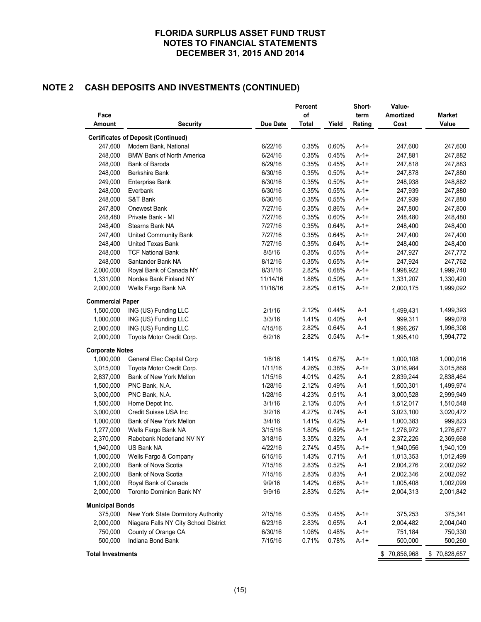# **NOTE 2 CASH DEPOSITS AND INVESTMENTS (CONTINUED)**

|                          |                                            |          | <b>Percent</b> |       | Short- | Value-       |               |
|--------------------------|--------------------------------------------|----------|----------------|-------|--------|--------------|---------------|
| Face                     |                                            |          | $\mathsf{of}$  |       | term   | Amortized    | <b>Market</b> |
| Amount                   | <b>Security</b>                            | Due Date | <b>Total</b>   | Yield | Rating | Cost         | Value         |
|                          | <b>Certificates of Deposit (Continued)</b> |          |                |       |        |              |               |
| 247,600                  | Modern Bank, National                      | 6/22/16  | 0.35%          | 0.60% | $A-1+$ | 247,600      | 247,600       |
| 248,000                  | <b>BMW Bank of North America</b>           | 6/24/16  | 0.35%          | 0.45% | $A-1+$ | 247,881      | 247,882       |
| 248,000                  | Bank of Baroda                             | 6/29/16  | 0.35%          | 0.45% | $A-1+$ | 247,818      | 247,883       |
| 248,000                  | Berkshire Bank                             | 6/30/16  | 0.35%          | 0.50% | $A-1+$ | 247,878      | 247,880       |
| 249,000                  | <b>Enterprise Bank</b>                     | 6/30/16  | 0.35%          | 0.50% | $A-1+$ | 248,938      | 248,882       |
| 248,000                  | Everbank                                   | 6/30/16  | 0.35%          | 0.55% | $A-1+$ | 247,939      | 247,880       |
| 248,000                  | S&T Bank                                   | 6/30/16  | 0.35%          | 0.55% | $A-1+$ | 247,939      | 247,880       |
| 247,800                  | Onewest Bank                               | 7/27/16  | 0.35%          | 0.86% | $A-1+$ | 247,800      | 247,800       |
| 248,480                  | Private Bank - MI                          | 7/27/16  | 0.35%          | 0.60% | $A-1+$ | 248,480      | 248,480       |
| 248,400                  | Stearns Bank NA                            | 7/27/16  | 0.35%          | 0.64% | $A-1+$ | 248,400      | 248,400       |
| 247,400                  | United Community Bank                      | 7/27/16  | 0.35%          | 0.64% | $A-1+$ | 247,400      | 247,400       |
| 248,400                  | United Texas Bank                          | 7/27/16  | 0.35%          | 0.64% | $A-1+$ | 248,400      | 248,400       |
| 248,000                  | <b>TCF National Bank</b>                   | 8/5/16   | 0.35%          | 0.55% | $A-1+$ | 247,927      | 247,772       |
| 248,000                  | Santander Bank NA                          | 8/12/16  | 0.35%          | 0.65% | $A-1+$ | 247,924      | 247,762       |
| 2,000,000                | Royal Bank of Canada NY                    | 8/31/16  | 2.82%          | 0.68% | $A-1+$ | 1,998,922    | 1,999,740     |
| 1,331,000                | Nordea Bank Finland NY                     | 11/14/16 | 1.88%          | 0.50% | $A-1+$ | 1,331,207    | 1,330,420     |
| 2,000,000                | Wells Fargo Bank NA                        | 11/16/16 | 2.82%          | 0.61% | $A-1+$ | 2,000,175    | 1,999,092     |
| <b>Commercial Paper</b>  |                                            |          |                |       |        |              |               |
| 1,500,000                | ING (US) Funding LLC                       | 2/1/16   | 2.12%          | 0.44% | $A-1$  | 1,499,431    | 1,499,393     |
| 1,000,000                | ING (US) Funding LLC                       | 3/3/16   | 1.41%          | 0.40% | $A-1$  | 999,311      | 999,078       |
| 2,000,000                | ING (US) Funding LLC                       | 4/15/16  | 2.82%          | 0.64% | $A-1$  | 1,996,267    | 1,996,308     |
| 2,000,000                | Toyota Motor Credit Corp.                  | 6/2/16   | 2.82%          | 0.54% | $A-1+$ | 1,995,410    | 1,994,772     |
| <b>Corporate Notes</b>   |                                            |          |                |       |        |              |               |
| 1,000,000                | General Elec Capital Corp                  | 1/8/16   | 1.41%          | 0.67% | $A-1+$ | 1,000,108    | 1,000,016     |
| 3,015,000                | Toyota Motor Credit Corp.                  | 1/11/16  | 4.26%          | 0.38% | $A-1+$ | 3,016,984    | 3,015,868     |
| 2,837,000                | Bank of New York Mellon                    | 1/15/16  | 4.01%          | 0.42% | $A-1$  | 2,839,244    | 2,838,464     |
| 1,500,000                | PNC Bank, N.A.                             | 1/28/16  | 2.12%          | 0.49% | $A-1$  | 1,500,301    | 1,499,974     |
| 3,000,000                | PNC Bank, N.A.                             | 1/28/16  | 4.23%          | 0.51% | $A-1$  | 3,000,528    | 2,999,949     |
| 1,500,000                | Home Depot Inc.                            | 3/1/16   | 2.13%          | 0.50% | $A-1$  | 1,512,017    | 1,510,548     |
| 3,000,000                | Credit Suisse USA Inc                      | 3/2/16   | 4.27%          | 0.74% | $A-1$  | 3,023,100    | 3,020,472     |
| 1,000,000                | Bank of New York Mellon                    | 3/4/16   | 1.41%          | 0.42% | $A-1$  | 1,000,383    | 999,823       |
| 1,277,000                | Wells Fargo Bank NA                        | 3/15/16  | 1.80%          | 0.69% | $A-1+$ | 1,276,972    | 1,276,677     |
| 2,370,000                | Rabobank Nederland NV NY                   | 3/18/16  | 3.35%          | 0.32% | $A-1$  | 2,372,226    | 2,369,668     |
| 1,940,000                | US Bank NA                                 | 4/22/16  | 2.74%          | 0.45% | $A-1+$ | 1,940,056    | 1,940,109     |
| 1,000,000                | Wells Fargo & Company                      | 6/15/16  | 1.43%          | 0.71% | $A-1$  | 1,013,353    | 1,012,499     |
| 2,000,000                | Bank of Nova Scotia                        | 7/15/16  | 2.83%          | 0.52% | $A-1$  | 2,004,276    | 2,002,092     |
| 2,000,000                | Bank of Nova Scotia                        | 7/15/16  | 2.83%          | 0.83% | $A-1$  | 2,002,346    | 2,002,092     |
| 1,000,000                | Royal Bank of Canada                       | 9/9/16   | 1.42%          | 0.66% | $A-1+$ | 1,005,408    | 1,002,099     |
| 2,000,000                | <b>Toronto Dominion Bank NY</b>            | 9/9/16   | 2.83%          | 0.52% | $A-1+$ | 2,004,313    | 2,001,842     |
| <b>Municipal Bonds</b>   |                                            |          |                |       |        |              |               |
| 375,000                  | New York State Dormitory Authority         | 2/15/16  | 0.53%          | 0.45% | $A-1+$ | 375,253      | 375,341       |
| 2,000,000                | Niagara Falls NY City School District      | 6/23/16  | 2.83%          | 0.65% | $A-1$  | 2,004,482    | 2,004,040     |
| 750,000                  | County of Orange CA                        | 6/30/16  | 1.06%          | 0.48% | $A-1+$ | 751,184      | 750,330       |
| 500,000                  | Indiana Bond Bank                          | 7/15/16  | 0.71%          | 0.78% | $A-1+$ | 500,000      | 500,260       |
| <b>Total Investments</b> |                                            |          |                |       |        | \$70,856,968 | \$70,828,657  |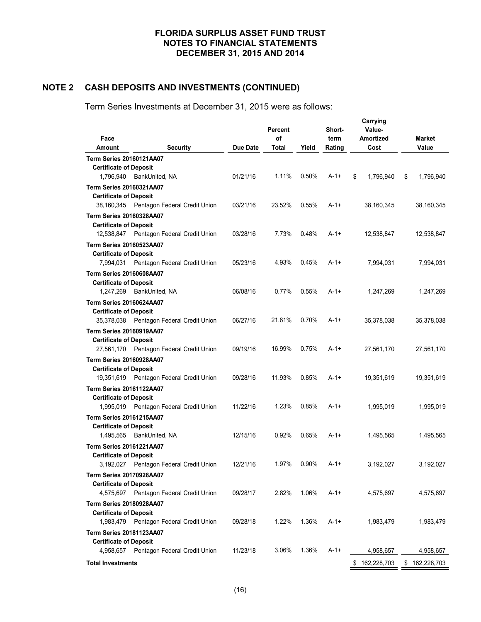# **NOTE 2 CASH DEPOSITS AND INVESTMENTS (CONTINUED)**

Term Series Investments at December 31, 2015 were as follows:

| Face                            |                                         | Carrying<br>Short-<br>Value-<br><b>Percent</b><br>οf<br><b>Amortized</b><br>term |        | <b>Market</b> |        |                 |                 |
|---------------------------------|-----------------------------------------|----------------------------------------------------------------------------------|--------|---------------|--------|-----------------|-----------------|
| Amount                          | <b>Security</b>                         | Due Date                                                                         | Total  | Yield         | Rating | Cost            | Value           |
| <b>Term Series 20160121AA07</b> |                                         |                                                                                  |        |               |        |                 |                 |
| <b>Certificate of Deposit</b>   |                                         |                                                                                  |        |               |        |                 |                 |
| 1,796,940                       | BankUnited, NA                          | 01/21/16                                                                         | 1.11%  | 0.50%         | $A-1+$ | \$<br>1,796,940 | \$<br>1,796,940 |
| <b>Term Series 20160321AA07</b> |                                         |                                                                                  |        |               |        |                 |                 |
| <b>Certificate of Deposit</b>   |                                         |                                                                                  |        |               |        |                 |                 |
| 38,160,345                      | Pentagon Federal Credit Union           | 03/21/16                                                                         | 23.52% | 0.55%         | $A-1+$ | 38,160,345      | 38,160,345      |
| <b>Term Series 20160328AA07</b> |                                         |                                                                                  |        |               |        |                 |                 |
| <b>Certificate of Deposit</b>   |                                         |                                                                                  |        |               |        |                 |                 |
| 12,538,847                      | Pentagon Federal Credit Union           | 03/28/16                                                                         | 7.73%  | 0.48%         | A-1+   | 12,538,847      | 12,538,847      |
| <b>Term Series 20160523AA07</b> |                                         |                                                                                  |        |               |        |                 |                 |
| <b>Certificate of Deposit</b>   |                                         |                                                                                  |        |               |        |                 |                 |
| 7,994,031                       | Pentagon Federal Credit Union           | 05/23/16                                                                         | 4.93%  | 0.45%         | $A-1+$ | 7,994,031       | 7,994,031       |
| <b>Term Series 20160608AA07</b> |                                         |                                                                                  |        |               |        |                 |                 |
| <b>Certificate of Deposit</b>   |                                         |                                                                                  |        |               |        |                 |                 |
| 1,247,269                       | BankUnited, NA                          | 06/08/16                                                                         | 0.77%  | 0.55%         | $A-1+$ | 1,247,269       | 1,247,269       |
| <b>Term Series 20160624AA07</b> |                                         |                                                                                  |        |               |        |                 |                 |
| <b>Certificate of Deposit</b>   |                                         |                                                                                  |        |               |        |                 |                 |
| 35,378,038                      | Pentagon Federal Credit Union           | 06/27/16                                                                         | 21.81% | 0.70%         | $A-1+$ | 35,378,038      | 35,378,038      |
| <b>Term Series 20160919AA07</b> |                                         |                                                                                  |        |               |        |                 |                 |
| <b>Certificate of Deposit</b>   |                                         |                                                                                  |        |               |        |                 |                 |
| 27,561,170                      | Pentagon Federal Credit Union           | 09/19/16                                                                         | 16.99% | 0.75%         | $A-1+$ | 27,561,170      | 27,561,170      |
| <b>Term Series 20160928AA07</b> |                                         |                                                                                  |        |               |        |                 |                 |
| <b>Certificate of Deposit</b>   |                                         |                                                                                  |        |               |        |                 |                 |
| 19,351,619                      | Pentagon Federal Credit Union           | 09/28/16                                                                         | 11.93% | 0.85%         | A-1+   | 19,351,619      | 19,351,619      |
| <b>Term Series 20161122AA07</b> |                                         |                                                                                  |        |               |        |                 |                 |
| <b>Certificate of Deposit</b>   |                                         |                                                                                  |        |               |        |                 |                 |
| 1,995,019                       | Pentagon Federal Credit Union           | 11/22/16                                                                         | 1.23%  | 0.85%         | A-1+   | 1,995,019       | 1,995,019       |
| <b>Term Series 20161215AA07</b> |                                         |                                                                                  |        |               |        |                 |                 |
| <b>Certificate of Deposit</b>   |                                         |                                                                                  |        |               |        |                 |                 |
| 1,495,565                       | BankUnited, NA                          | 12/15/16                                                                         | 0.92%  | 0.65%         | $A-1+$ | 1,495,565       | 1,495,565       |
| <b>Term Series 20161221AA07</b> |                                         |                                                                                  |        |               |        |                 |                 |
| <b>Certificate of Deposit</b>   |                                         |                                                                                  |        |               |        |                 |                 |
| 3,192,027                       | Pentagon Federal Credit Union           | 12/21/16                                                                         | 1.97%  | 0.90%         | A-1+   | 3,192,027       | 3,192,027       |
| <b>Term Series 20170928AA07</b> |                                         |                                                                                  |        |               |        |                 |                 |
| <b>Certificate of Deposit</b>   |                                         |                                                                                  |        |               |        |                 |                 |
|                                 | 4,575,697 Pentagon Federal Credit Union | 09/28/17                                                                         | 2.82%  | 1.06%         | $A-1+$ | 4,575,697       | 4,575,697       |
| <b>Term Series 20180928AA07</b> |                                         |                                                                                  |        |               |        |                 |                 |
| <b>Certificate of Deposit</b>   |                                         |                                                                                  |        |               |        |                 |                 |
|                                 | 1,983,479 Pentagon Federal Credit Union | 09/28/18                                                                         | 1.22%  | 1.36%         | $A-1+$ | 1,983,479       | 1,983,479       |
| <b>Term Series 20181123AA07</b> |                                         |                                                                                  |        |               |        |                 |                 |
| <b>Certificate of Deposit</b>   |                                         |                                                                                  |        |               |        |                 |                 |
|                                 | 4,958,657 Pentagon Federal Credit Union | 11/23/18                                                                         | 3.06%  | 1.36%         | $A-1+$ | 4,958,657       | 4,958,657       |
| <b>Total Investments</b>        |                                         |                                                                                  |        |               |        | \$162,228,703   | \$162,228,703   |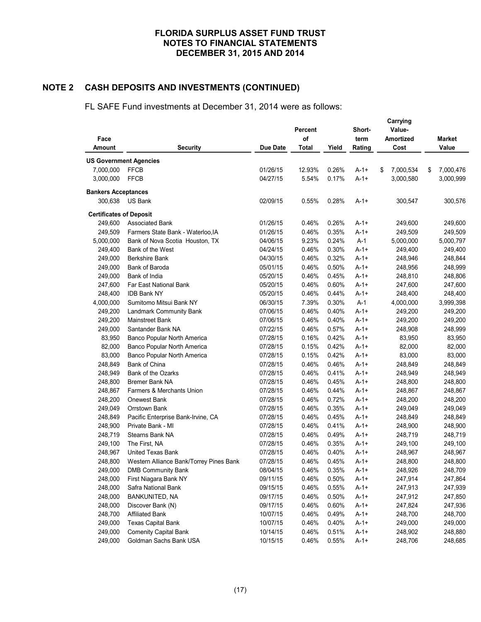# **NOTE 2 CASH DEPOSITS AND INVESTMENTS (CONTINUED)**

FL SAFE Fund investments at December 31, 2014 were as follows:

| Face                           |                                         |          | Percent<br>of |       | Short-<br>term | ∽anymy<br>Value-<br>Amortized | <b>Market</b>   |
|--------------------------------|-----------------------------------------|----------|---------------|-------|----------------|-------------------------------|-----------------|
| <b>Amount</b>                  | <b>Security</b>                         | Due Date | Total         | Yield | Rating         | Cost                          | Value           |
| <b>US Government Agencies</b>  |                                         |          |               |       |                |                               |                 |
| 7,000,000                      | <b>FFCB</b>                             | 01/26/15 | 12.93%        | 0.26% | $A-1+$         | 7,000,534<br>\$               | \$<br>7,000,476 |
| 3,000,000                      | <b>FFCB</b>                             | 04/27/15 | 5.54%         | 0.17% | $A-1+$         | 3,000,580                     | 3,000,999       |
| <b>Bankers Acceptances</b>     |                                         |          |               |       |                |                               |                 |
| 300,638                        | <b>US Bank</b>                          | 02/09/15 | 0.55%         | 0.28% | $A-1+$         | 300,547                       | 300,576         |
| <b>Certificates of Deposit</b> |                                         |          |               |       |                |                               |                 |
| 249,600                        | <b>Associated Bank</b>                  | 01/26/15 | 0.46%         | 0.26% | $A-1+$         | 249,600                       | 249,600         |
| 249,509                        | Farmers State Bank - Waterloo, IA       | 01/26/15 | 0.46%         | 0.35% | $A-1+$         | 249,509                       | 249,509         |
| 5,000,000                      | Bank of Nova Scotia Houston, TX         | 04/06/15 | 9.23%         | 0.24% | $A-1$          | 5,000,000                     | 5,000,797       |
| 249,400                        | Bank of the West                        | 04/24/15 | 0.46%         | 0.30% | $A-1+$         | 249,400                       | 249,400         |
| 249,000                        | <b>Berkshire Bank</b>                   | 04/30/15 | 0.46%         | 0.32% | $A-1+$         | 248,946                       | 248,844         |
| 249,000                        | Bank of Baroda                          | 05/01/15 | 0.46%         | 0.50% | $A-1+$         | 248,956                       | 248,999         |
| 249,000                        | Bank of India                           | 05/20/15 | 0.46%         | 0.45% | $A-1+$         | 248,810                       | 248,806         |
| 247,600                        | Far East National Bank                  | 05/20/15 | 0.46%         | 0.60% | $A-1+$         | 247,600                       | 247,600         |
| 248,400                        | <b>IDB Bank NY</b>                      | 05/20/15 | 0.46%         | 0.44% | $A-1+$         | 248,400                       | 248,400         |
| 4,000,000                      | Sumitomo Mitsui Bank NY                 | 06/30/15 | 7.39%         | 0.30% | $A-1$          | 4,000,000                     | 3,999,398       |
| 249,200                        | Landmark Community Bank                 | 07/06/15 | 0.46%         | 0.40% | $A-1+$         | 249,200                       | 249,200         |
| 249,200                        | Mainstreet Bank                         | 07/06/15 | 0.46%         | 0.40% | $A-1+$         | 249,200                       | 249,200         |
| 249,000                        | Santander Bank NA                       | 07/22/15 | 0.46%         | 0.57% | $A-1+$         | 248,908                       | 248,999         |
| 83,950                         | Banco Popular North America             | 07/28/15 | 0.16%         | 0.42% | $A-1+$         | 83,950                        | 83,950          |
| 82,000                         | Banco Popular North America             | 07/28/15 | 0.15%         | 0.42% | $A-1+$         | 82,000                        | 82,000          |
| 83,000                         | Banco Popular North America             | 07/28/15 | 0.15%         | 0.42% | $A-1+$         | 83,000                        | 83,000          |
| 248,849                        | Bank of China                           | 07/28/15 | 0.46%         | 0.46% | $A-1+$         | 248,849                       | 248,849         |
| 248,949                        | Bank of the Ozarks                      | 07/28/15 | 0.46%         | 0.41% | $A-1+$         | 248,949                       | 248,949         |
| 248,800                        | <b>Bremer Bank NA</b>                   | 07/28/15 | 0.46%         | 0.45% | $A-1+$         | 248,800                       | 248,800         |
| 248,867                        | Farmers & Merchants Union               | 07/28/15 | 0.46%         | 0.44% | $A-1+$         | 248,867                       | 248,867         |
| 248,200                        | Onewest Bank                            | 07/28/15 | 0.46%         | 0.72% | $A-1+$         | 248,200                       | 248,200         |
| 249,049                        | <b>Orrstown Bank</b>                    | 07/28/15 | 0.46%         | 0.35% | $A-1+$         | 249,049                       | 249,049         |
| 248,849                        | Pacific Enterprise Bank-Irvine, CA      | 07/28/15 | 0.46%         | 0.45% | $A-1+$         | 248,849                       | 248,849         |
| 248,900                        | Private Bank - MI                       | 07/28/15 | 0.46%         | 0.41% | $A-1+$         | 248,900                       | 248,900         |
| 248,719                        | Stearns Bank NA                         | 07/28/15 | 0.46%         | 0.49% | $A-1+$         | 248,719                       | 248,719         |
| 249,100                        | The First, NA                           | 07/28/15 | 0.46%         | 0.35% | $A-1+$         | 249,100                       | 249,100         |
| 248,967                        | United Texas Bank                       | 07/28/15 | 0.46%         | 0.40% | $A-1+$         | 248,967                       | 248,967         |
| 248,800                        | Western Alliance Bank/Torrey Pines Bank | 07/28/15 | 0.46%         | 0.45% | $A-1+$         | 248,800                       | 248,800         |
| 249,000                        | <b>DMB Community Bank</b>               | 08/04/15 | 0.46%         | 0.35% | $A-1+$         | 248,926                       | 248,709         |
| 248,000                        | First Niagara Bank NY                   |          |               |       | $A-1+$         |                               |                 |
|                                |                                         | 09/11/15 | 0.46%         | 0.50% |                | 247,914                       | 247,864         |
| 248,000                        | Safra National Bank                     | 09/15/15 | 0.46%         | 0.55% | $A-1+$         | 247,913                       | 247,939         |
| 248,000                        | BANKUNITED, NA                          | 09/17/15 | 0.46%         | 0.50% | $A-1+$         | 247,912                       | 247,850         |
| 248,000                        | Discover Bank (N)                       | 09/17/15 | 0.46%         | 0.60% | $A-1+$         | 247,824                       | 247,936         |
| 248,700                        | <b>Affiliated Bank</b>                  | 10/07/15 | 0.46%         | 0.49% | $A-1+$         | 248,700                       | 248,700         |
| 249,000                        | <b>Texas Capital Bank</b>               | 10/07/15 | 0.46%         | 0.40% | $A-1+$         | 249,000                       | 249,000         |
| 249,000                        | <b>Comenity Capital Bank</b>            | 10/14/15 | 0.46%         | 0.51% | $A-1+$         | 248,902                       | 248,880         |
| 249,000                        | Goldman Sachs Bank USA                  | 10/15/15 | 0.46%         | 0.55% | $A-1+$         | 248,706                       | 248,685         |

**Carrying**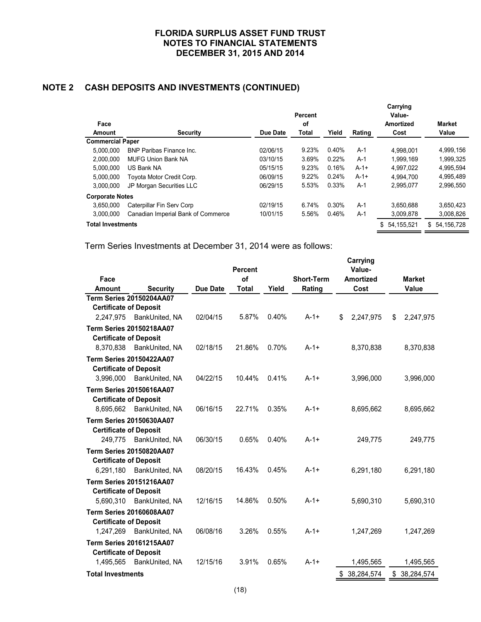# **NOTE 2 CASH DEPOSITS AND INVESTMENTS (CONTINUED)**

|                          |                                    |          |              |       |           | Carrying         |                  |
|--------------------------|------------------------------------|----------|--------------|-------|-----------|------------------|------------------|
|                          |                                    |          | Percent      |       |           | Value-           |                  |
| Face                     |                                    |          | οf           |       |           | <b>Amortized</b> | <b>Market</b>    |
| Amount                   | <b>Security</b>                    | Due Date | <b>Total</b> | Yield | Rating    | Cost             | Value            |
| <b>Commercial Paper</b>  |                                    |          |              |       |           |                  |                  |
| 5.000.000                | <b>BNP Paribas Finance Inc.</b>    | 02/06/15 | 9.23%        | 0.40% | $A-1$     | 4.998.001        | 4,999,156        |
| 2.000.000                | <b>MUFG Union Bank NA</b>          | 03/10/15 | 3.69%        | 0.22% | $A-1$     | 1.999.169        | 1,999,325        |
| 5,000,000                | US Bank NA                         | 05/15/15 | 9.23%        | 0.16% | $A - 1 +$ | 4.997.022        | 4,995,594        |
| 5,000,000                | Toyota Motor Credit Corp.          | 06/09/15 | 9.22%        | 0.24% | $A - 1 +$ | 4.994.700        | 4,995,489        |
| 3.000.000                | JP Morgan Securities LLC           | 06/29/15 | 5.53%        | 0.33% | $A-1$     | 2,995,077        | 2,996,550        |
| <b>Corporate Notes</b>   |                                    |          |              |       |           |                  |                  |
| 3.650.000                | Caterpillar Fin Serv Corp          | 02/19/15 | 6.74%        | 0.30% | $A-1$     | 3.650.688        | 3,650,423        |
| 3.000.000                | Canadian Imperial Bank of Commerce | 10/01/15 | 5.56%        | 0.46% | $A-1$     | 3.009.878        | 3,008,826        |
| <b>Total Investments</b> |                                    |          |              |       |           | \$54.155.521     | 54.156.728<br>S. |

Term Series Investments at December 31, 2014 were as follows:

|                                            |                                 |                 | <b>Percent</b> |       |                   | Carrying<br>Value- |                 |
|--------------------------------------------|---------------------------------|-----------------|----------------|-------|-------------------|--------------------|-----------------|
| Face                                       |                                 |                 | of             |       | <b>Short-Term</b> | <b>Amortized</b>   | <b>Market</b>   |
| Amount                                     | <b>Security</b>                 | <b>Due Date</b> | <b>Total</b>   | Yield | Rating            | Cost               | Value           |
|                                            | <b>Term Series 20150204AA07</b> |                 |                |       |                   |                    |                 |
| <b>Certificate of Deposit</b>              |                                 |                 |                |       |                   |                    |                 |
| 2,247,975                                  | BankUnited, NA                  | 02/04/15        | 5.87%          | 0.40% | $A - 1 +$         | \$<br>2,247,975    | \$<br>2,247,975 |
|                                            | <b>Term Series 20150218AA07</b> |                 |                |       |                   |                    |                 |
| <b>Certificate of Deposit</b><br>8,370,838 | BankUnited, NA                  | 02/18/15        | 21.86%         | 0.70% | $A-1+$            | 8,370,838          | 8,370,838       |
|                                            |                                 |                 |                |       |                   |                    |                 |
|                                            | <b>Term Series 20150422AA07</b> |                 |                |       |                   |                    |                 |
| <b>Certificate of Deposit</b><br>3.996.000 | BankUnited, NA                  | 04/22/15        | 10.44%         | 0.41% | $A-1+$            | 3,996,000          | 3,996,000       |
|                                            |                                 |                 |                |       |                   |                    |                 |
| <b>Certificate of Deposit</b>              | <b>Term Series 20150616AA07</b> |                 |                |       |                   |                    |                 |
| 8,695,662                                  | BankUnited, NA                  | 06/16/15        | 22.71%         | 0.35% | $A - 1 +$         | 8,695,662          | 8,695,662       |
|                                            | <b>Term Series 20150630AA07</b> |                 |                |       |                   |                    |                 |
| <b>Certificate of Deposit</b>              |                                 |                 |                |       |                   |                    |                 |
| 249,775                                    | BankUnited, NA                  | 06/30/15        | 0.65%          | 0.40% | $A - 1 +$         | 249,775            | 249,775         |
|                                            | <b>Term Series 20150820AA07</b> |                 |                |       |                   |                    |                 |
| <b>Certificate of Deposit</b>              |                                 |                 |                |       |                   |                    |                 |
| 6,291,180                                  | BankUnited, NA                  | 08/20/15        | 16.43%         | 0.45% | $A-1+$            | 6,291,180          | 6,291,180       |
|                                            | <b>Term Series 20151216AA07</b> |                 |                |       |                   |                    |                 |
| <b>Certificate of Deposit</b>              |                                 |                 |                |       |                   |                    |                 |
| 5,690,310                                  | BankUnited, NA                  | 12/16/15        | 14.86%         | 0.50% | $A-1+$            | 5,690,310          | 5,690,310       |
|                                            | <b>Term Series 20160608AA07</b> |                 |                |       |                   |                    |                 |
| <b>Certificate of Deposit</b>              |                                 |                 |                |       |                   |                    |                 |
| 1,247,269                                  | BankUnited, NA                  | 06/08/16        | 3.26%          | 0.55% | $A-1+$            | 1,247,269          | 1,247,269       |
|                                            | <b>Term Series 20161215AA07</b> |                 |                |       |                   |                    |                 |
| <b>Certificate of Deposit</b>              |                                 |                 |                |       |                   |                    |                 |
| 1,495,565                                  | BankUnited, NA                  | 12/15/16        | 3.91%          | 0.65% | $A-1+$            | 1,495,565          | 1,495,565       |
| <b>Total Investments</b>                   |                                 |                 |                |       |                   | \$ 38,284,574      | \$ 38,284,574   |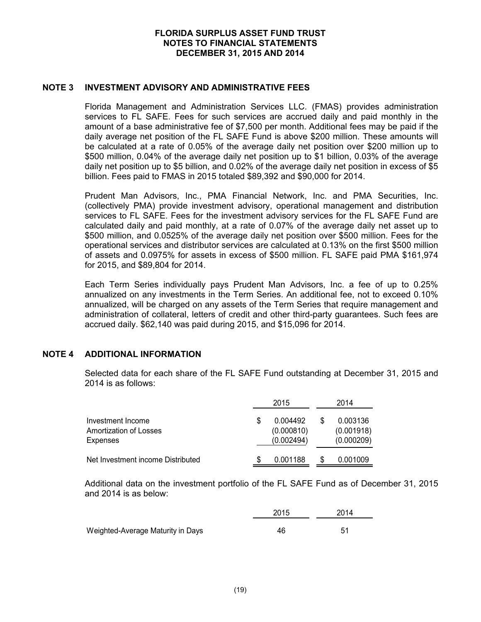### **NOTE 3 INVESTMENT ADVISORY AND ADMINISTRATIVE FEES**

Florida Management and Administration Services LLC. (FMAS) provides administration services to FL SAFE. Fees for such services are accrued daily and paid monthly in the amount of a base administrative fee of \$7,500 per month. Additional fees may be paid if the daily average net position of the FL SAFE Fund is above \$200 million. These amounts will be calculated at a rate of 0.05% of the average daily net position over \$200 million up to \$500 million, 0.04% of the average daily net position up to \$1 billion, 0.03% of the average daily net position up to \$5 billion, and 0.02% of the average daily net position in excess of \$5 billion. Fees paid to FMAS in 2015 totaled \$89,392 and \$90,000 for 2014.

Prudent Man Advisors, Inc., PMA Financial Network, Inc. and PMA Securities, Inc. (collectively PMA) provide investment advisory, operational management and distribution services to FL SAFE. Fees for the investment advisory services for the FL SAFE Fund are calculated daily and paid monthly, at a rate of 0.07% of the average daily net asset up to \$500 million, and 0.0525% of the average daily net position over \$500 million. Fees for the operational services and distributor services are calculated at 0.13% on the first \$500 million of assets and 0.0975% for assets in excess of \$500 million. FL SAFE paid PMA \$161,974 for 2015, and \$89,804 for 2014.

Each Term Series individually pays Prudent Man Advisors, Inc. a fee of up to 0.25% annualized on any investments in the Term Series. An additional fee, not to exceed 0.10% annualized, will be charged on any assets of the Term Series that require management and administration of collateral, letters of credit and other third-party guarantees. Such fees are accrued daily. \$62,140 was paid during 2015, and \$15,096 for 2014.

## **NOTE 4 ADDITIONAL INFORMATION**

Selected data for each share of the FL SAFE Fund outstanding at December 31, 2015 and 2014 is as follows:

|                                                         | 2015 |                                      |  | 2014                                 |  |  |
|---------------------------------------------------------|------|--------------------------------------|--|--------------------------------------|--|--|
| Investment Income<br>Amortization of Losses<br>Expenses |      | 0.004492<br>(0.000810)<br>(0.002494) |  | 0.003136<br>(0.001918)<br>(0.000209) |  |  |
| Net Investment income Distributed                       | S    | 0.001188                             |  | 0.001009                             |  |  |

Additional data on the investment portfolio of the FL SAFE Fund as of December 31, 2015 and 2014 is as below:

|                                   | 2015 | 2014 |  |  |
|-----------------------------------|------|------|--|--|
| Weighted-Average Maturity in Days | 46   | 51   |  |  |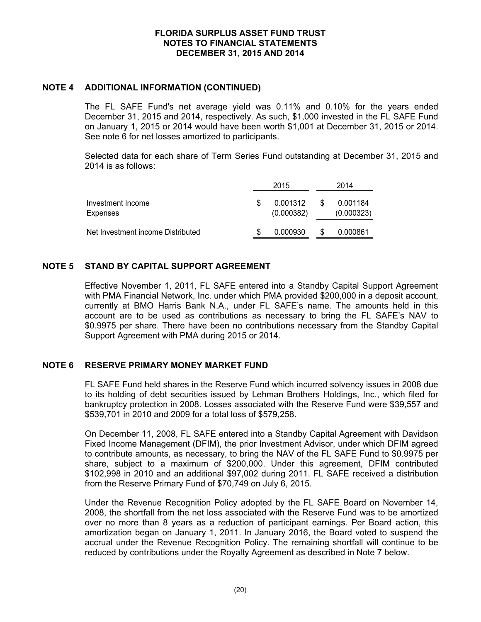## **NOTE 4 ADDITIONAL INFORMATION (CONTINUED)**

The FL SAFE Fund's net average yield was 0.11% and 0.10% for the years ended December 31, 2015 and 2014, respectively. As such, \$1,000 invested in the FL SAFE Fund on January 1, 2015 or 2014 would have been worth \$1,001 at December 31, 2015 or 2014. See note 6 for net losses amortized to participants.

Selected data for each share of Term Series Fund outstanding at December 31, 2015 and 2014 is as follows:

|                                   | 2015 |                        |     | 2014                   |  |  |
|-----------------------------------|------|------------------------|-----|------------------------|--|--|
| Investment Income<br>Expenses     |      | 0.001312<br>(0.000382) | \$. | 0.001184<br>(0.000323) |  |  |
| Net Investment income Distributed |      | 0.000930               |     | 0.000861               |  |  |

### **NOTE 5 STAND BY CAPITAL SUPPORT AGREEMENT**

Effective November 1, 2011, FL SAFE entered into a Standby Capital Support Agreement with PMA Financial Network, Inc. under which PMA provided \$200,000 in a deposit account, currently at BMO Harris Bank N.A., under FL SAFE's name. The amounts held in this account are to be used as contributions as necessary to bring the FL SAFE's NAV to \$0.9975 per share. There have been no contributions necessary from the Standby Capital Support Agreement with PMA during 2015 or 2014.

#### **NOTE 6 RESERVE PRIMARY MONEY MARKET FUND**

FL SAFE Fund held shares in the Reserve Fund which incurred solvency issues in 2008 due to its holding of debt securities issued by Lehman Brothers Holdings, Inc., which filed for bankruptcy protection in 2008. Losses associated with the Reserve Fund were \$39,557 and \$539,701 in 2010 and 2009 for a total loss of \$579,258.

On December 11, 2008, FL SAFE entered into a Standby Capital Agreement with Davidson Fixed Income Management (DFIM), the prior Investment Advisor, under which DFIM agreed to contribute amounts, as necessary, to bring the NAV of the FL SAFE Fund to \$0.9975 per share, subject to a maximum of \$200,000. Under this agreement, DFIM contributed \$102,998 in 2010 and an additional \$97,002 during 2011. FL SAFE received a distribution from the Reserve Primary Fund of \$70,749 on July 6, 2015.

Under the Revenue Recognition Policy adopted by the FL SAFE Board on November 14, 2008, the shortfall from the net loss associated with the Reserve Fund was to be amortized over no more than 8 years as a reduction of participant earnings. Per Board action, this amortization began on January 1, 2011. In January 2016, the Board voted to suspend the accrual under the Revenue Recognition Policy. The remaining shortfall will continue to be reduced by contributions under the Royalty Agreement as described in Note 7 below.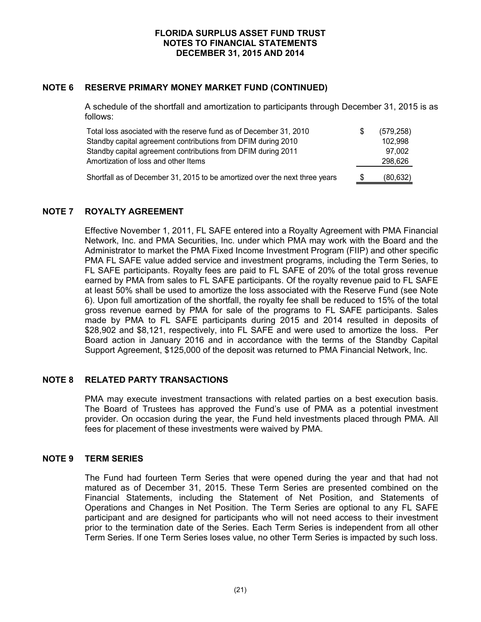# **NOTE 6 RESERVE PRIMARY MONEY MARKET FUND (CONTINUED)**

A schedule of the shortfall and amortization to participants through December 31, 2015 is as follows:

| Total loss asociated with the reserve fund as of December 31, 2010          |    | (579, 258) |
|-----------------------------------------------------------------------------|----|------------|
| Standby capital agreement contributions from DFIM during 2010               |    | 102,998    |
| Standby capital agreement contributions from DFIM during 2011               |    | 97,002     |
| Amortization of loss and other Items                                        |    | 298,626    |
| Shortfall as of December 31, 2015 to be amortized over the next three years | S. | (80,632)   |

# **NOTE 7 ROYALTY AGREEMENT**

Effective November 1, 2011, FL SAFE entered into a Royalty Agreement with PMA Financial Network, Inc. and PMA Securities, Inc. under which PMA may work with the Board and the Administrator to market the PMA Fixed Income Investment Program (FIIP) and other specific PMA FL SAFE value added service and investment programs, including the Term Series, to FL SAFE participants. Royalty fees are paid to FL SAFE of 20% of the total gross revenue earned by PMA from sales to FL SAFE participants. Of the royalty revenue paid to FL SAFE at least 50% shall be used to amortize the loss associated with the Reserve Fund (see Note 6). Upon full amortization of the shortfall, the royalty fee shall be reduced to 15% of the total gross revenue earned by PMA for sale of the programs to FL SAFE participants. Sales made by PMA to FL SAFE participants during 2015 and 2014 resulted in deposits of \$28,902 and \$8,121, respectively, into FL SAFE and were used to amortize the loss. Per Board action in January 2016 and in accordance with the terms of the Standby Capital Support Agreement, \$125,000 of the deposit was returned to PMA Financial Network, Inc.

## **NOTE 8 RELATED PARTY TRANSACTIONS**

PMA may execute investment transactions with related parties on a best execution basis. The Board of Trustees has approved the Fund's use of PMA as a potential investment provider. On occasion during the year, the Fund held investments placed through PMA. All fees for placement of these investments were waived by PMA.

## **NOTE 9 TERM SERIES**

The Fund had fourteen Term Series that were opened during the year and that had not matured as of December 31, 2015. These Term Series are presented combined on the Financial Statements, including the Statement of Net Position, and Statements of Operations and Changes in Net Position. The Term Series are optional to any FL SAFE participant and are designed for participants who will not need access to their investment prior to the termination date of the Series. Each Term Series is independent from all other Term Series. If one Term Series loses value, no other Term Series is impacted by such loss.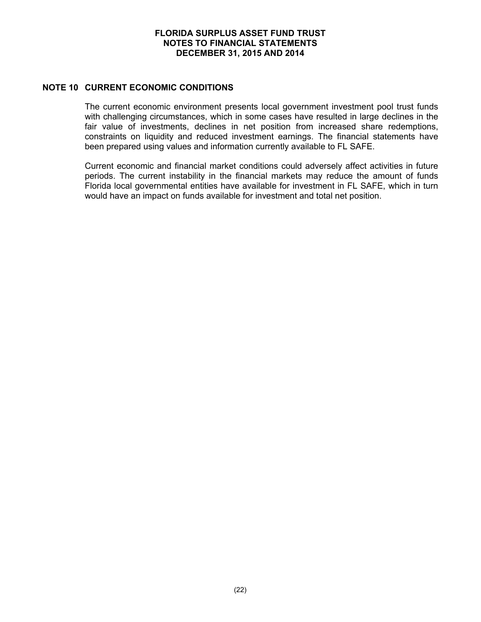## **NOTE 10 CURRENT ECONOMIC CONDITIONS**

The current economic environment presents local government investment pool trust funds with challenging circumstances, which in some cases have resulted in large declines in the fair value of investments, declines in net position from increased share redemptions, constraints on liquidity and reduced investment earnings. The financial statements have been prepared using values and information currently available to FL SAFE.

Current economic and financial market conditions could adversely affect activities in future periods. The current instability in the financial markets may reduce the amount of funds Florida local governmental entities have available for investment in FL SAFE, which in turn would have an impact on funds available for investment and total net position.